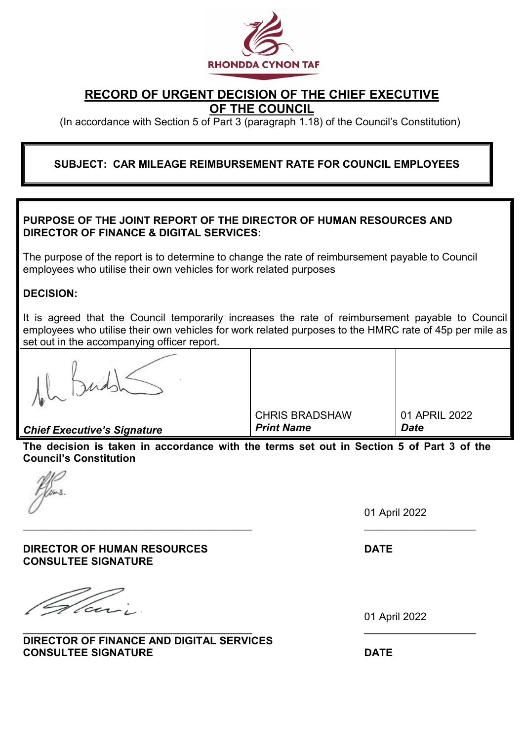

# **RECORD OF URGENT DECISION OF THE CHIEF EXECUTIVE OF THE COUNCIL**

(In accordance with Section 5 of Part 3 (paragraph 1.18) of the Council's Constitution)

# **SUBJECT: CAR MILEAGE REIMBURSEMENT RATE FOR COUNCIL EMPLOYEES**

## **PURPOSE OF THE JOINT REPORT OF THE DIRECTOR OF HUMAN RESOURCES AND DIRECTOR OF FINANCE & DIGITAL SERVICES:**

The purpose of the report is to determine to change the rate of reimbursement payable to Council employees who utilise their own vehicles for work related purposes

## **DECISION:**

It is agreed that the Council temporarily increases the rate of reimbursement payable to Council employees who utilise their own vehicles for work related purposes to the HMRC rate of 45p per mile as set out in the accompanying officer report.

*Chief Executive's Signature*

CHRIS BRADSHAW *Print Name*

01 APRIL 2022 *Date*

**The decision is taken in accordance with the terms set out in Section 5 of Part 3 of the Council's Constitution**

\_\_\_\_\_\_\_\_\_\_\_\_\_\_\_\_\_\_\_\_\_\_\_\_\_\_\_\_\_\_\_\_\_\_\_\_\_\_\_ \_\_\_\_\_\_\_\_\_\_\_\_\_\_\_\_\_\_\_

01 April 2022

**DIRECTOR OF HUMAN RESOURCES DATE CONSULTEE SIGNATURE**

'ces-

\_\_\_\_\_\_\_\_\_\_\_\_\_\_\_\_\_\_\_\_\_\_\_\_\_\_\_\_\_\_\_\_\_\_\_\_\_\_\_ \_\_\_\_\_\_\_\_\_\_\_\_\_\_\_\_\_\_\_ **DIRECTOR OF FINANCE AND DIGITAL SERVICES CONSULTEE SIGNATURE DATE**

01 April 2022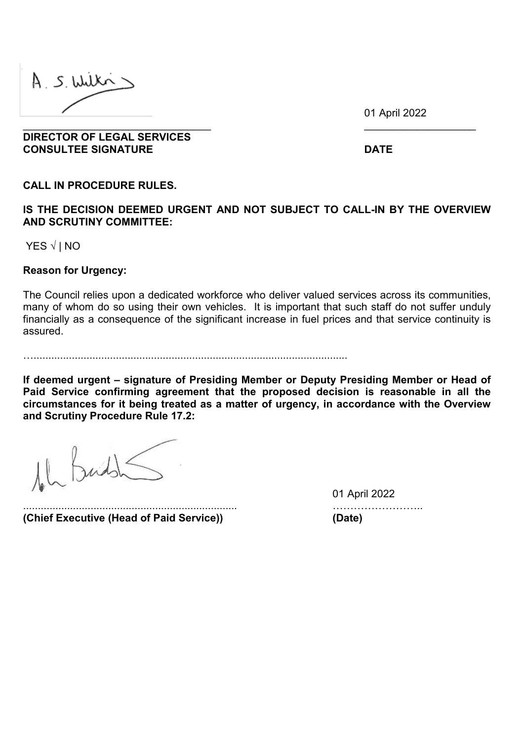A S. Wilki

01 April 2022

**DIRECTOR OF LEGAL SERVICES CONSULTEE SIGNATURE DATE**

**CALL IN PROCEDURE RULES.**

**IS THE DECISION DEEMED URGENT AND NOT SUBJECT TO CALL-IN BY THE OVERVIEW AND SCRUTINY COMMITTEE:**

\_\_\_\_\_\_\_\_\_\_\_\_\_\_\_\_\_\_\_\_\_\_\_\_\_\_\_\_\_\_\_\_ \_\_\_\_\_\_\_\_\_\_\_\_\_\_\_\_\_\_\_

YES **√** | NO

**Reason for Urgency:**

The Council relies upon a dedicated workforce who deliver valued services across its communities, many of whom do so using their own vehicles. It is important that such staff do not suffer unduly financially as a consequence of the significant increase in fuel prices and that service continuity is assured.

…...........................................................................................................

**If deemed urgent – signature of Presiding Member or Deputy Presiding Member or Head of Paid Service confirming agreement that the proposed decision is reasonable in all the circumstances for it being treated as a matter of urgency, in accordance with the Overview and Scrutiny Procedure Rule 17.2:**

**(Chief Executive (Head of Paid Service)) (Date)**

01 April 2022 ......................................................................... ……………………..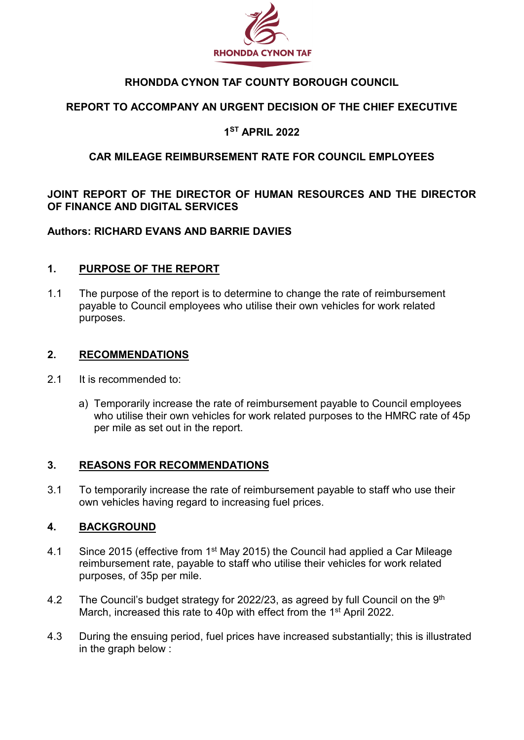

# **RHONDDA CYNON TAF COUNTY BOROUGH COUNCIL**

# **REPORT TO ACCOMPANY AN URGENT DECISION OF THE CHIEF EXECUTIVE**

## **1ST APRIL 2022**

## **CAR MILEAGE REIMBURSEMENT RATE FOR COUNCIL EMPLOYEES**

# **JOINT REPORT OF THE DIRECTOR OF HUMAN RESOURCES AND THE DIRECTOR OF FINANCE AND DIGITAL SERVICES**

## **Authors: RICHARD EVANS AND BARRIE DAVIES**

## **1. PURPOSE OF THE REPORT**

1.1 The purpose of the report is to determine to change the rate of reimbursement payable to Council employees who utilise their own vehicles for work related purposes.

#### **2. RECOMMENDATIONS**

- 2.1 It is recommended to:
	- a) Temporarily increase the rate of reimbursement payable to Council employees who utilise their own vehicles for work related purposes to the HMRC rate of 45p per mile as set out in the report.

## **3. REASONS FOR RECOMMENDATIONS**

3.1 To temporarily increase the rate of reimbursement payable to staff who use their own vehicles having regard to increasing fuel prices.

## **4. BACKGROUND**

- 4.1 Since 2015 (effective from 1<sup>st</sup> May 2015) the Council had applied a Car Mileage reimbursement rate, payable to staff who utilise their vehicles for work related purposes, of 35p per mile.
- 4.2 The Council's budget strategy for 2022/23, as agreed by full Council on the 9<sup>th</sup> March, increased this rate to 40p with effect from the 1<sup>st</sup> April 2022.
- 4.3 During the ensuing period, fuel prices have increased substantially; this is illustrated in the graph below :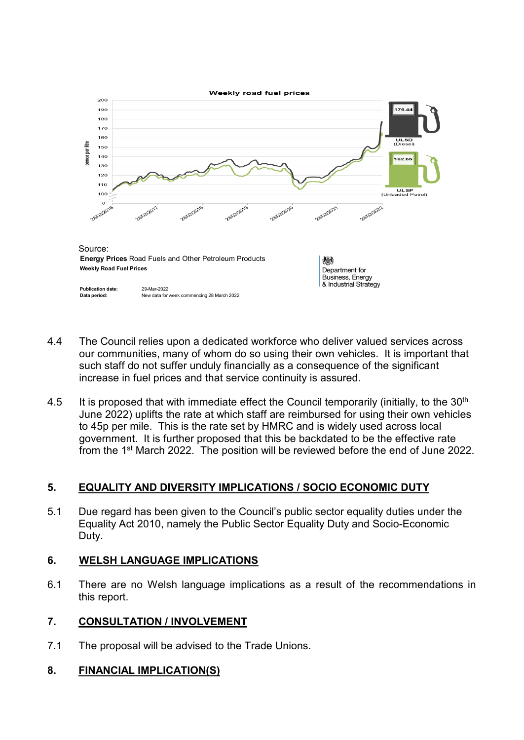

- 4.4 The Council relies upon a dedicated workforce who deliver valued services across our communities, many of whom do so using their own vehicles. It is important that such staff do not suffer unduly financially as a consequence of the significant increase in fuel prices and that service continuity is assured.
- 4.5 It is proposed that with immediate effect the Council temporarily (initially, to the  $30<sup>th</sup>$ June 2022) uplifts the rate at which staff are reimbursed for using their own vehicles to 45p per mile. This is the rate set by HMRC and is widely used across local government. It is further proposed that this be backdated to be the effective rate from the 1st March 2022. The position will be reviewed before the end of June 2022.

# **5. EQUALITY AND DIVERSITY IMPLICATIONS / SOCIO ECONOMIC DUTY**

5.1 Due regard has been given to the Council's public sector equality duties under the Equality Act 2010, namely the Public Sector Equality Duty and Socio-Economic Duty.

## **6. WELSH LANGUAGE IMPLICATIONS**

6.1 There are no Welsh language implications as a result of the recommendations in this report.

# **7. CONSULTATION / INVOLVEMENT**

7.1 The proposal will be advised to the Trade Unions.

# **8. FINANCIAL IMPLICATION(S)**